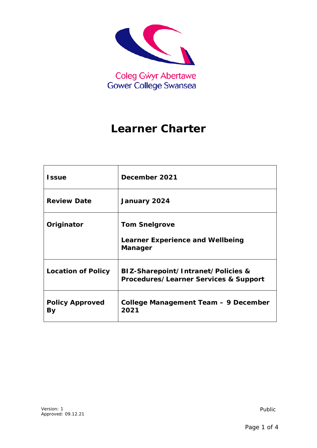

# **Learner Charter**

| <b>Issue</b>                 | December 2021                                                                     |
|------------------------------|-----------------------------------------------------------------------------------|
| <b>Review Date</b>           | January 2024                                                                      |
| Originator                   | <b>Tom Snelgrove</b><br><b>Learner Experience and Wellbeing</b><br><b>Manager</b> |
| <b>Location of Policy</b>    | BIZ-Sharepoint/Intranet/Policies &<br>Procedures/Learner Services & Support       |
| <b>Policy Approved</b><br>By | College Management Team - 9 December<br>2021                                      |

*Public*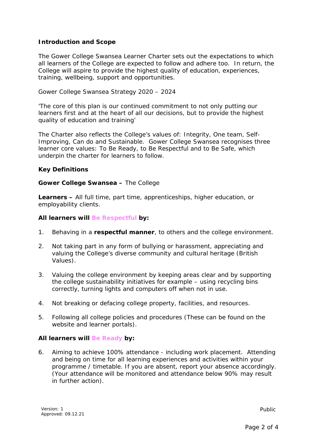# **Introduction and Scope**

The Gower College Swansea Learner Charter sets out the expectations to which all learners of the College are expected to follow and adhere too. In return, the College will aspire to provide the highest quality of education, experiences, training, wellbeing, support and opportunities.

Gower College Swansea Strategy 2020 – 2024

'The core of this plan is our continued commitment to not only putting our learners first and at the heart of all our decisions, but to provide the highest quality of education and training'

The Charter also reflects the College's values of: Integrity, One team, Self-Improving, Can do and Sustainable. Gower College Swansea recognises three learner core values: To Be Ready, to Be Respectful and to Be Safe, which underpin the charter for learners to follow.

## **Key Definitions**

#### *Gower College Swansea –* The College

*Learners –* All full time, part time, apprenticeships, higher education, or employability clients.

#### *All learners will Be Respectful by:*

- 1. Behaving in a **respectful manner**, to others and the college environment.
- 2. Not taking part in any form of bullying or harassment, appreciating and valuing the College's diverse community and cultural heritage (British Values).
- 3. Valuing the college environment by keeping areas clear and by supporting the college sustainability initiatives for example – using recycling bins correctly, turning lights and computers off when not in use.
- 4. Not breaking or defacing college property, facilities, and resources.
- 5. Following all college policies and procedures (These can be found on the website and learner portals).

## *All learners will Be Ready by:*

6. Aiming to achieve 100% attendance - including work placement. Attending and being on time for all learning experiences and activities within your programme / timetable. If you are absent, report your absence accordingly. (Your attendance will be monitored and attendance below 90% may result in further action).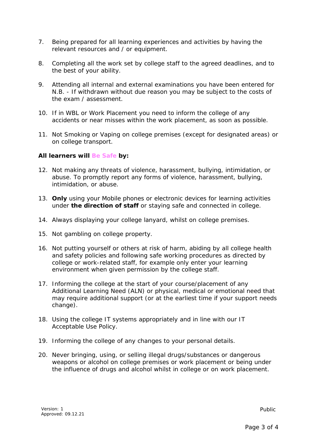- 7. Being prepared for all learning experiences and activities by having the relevant resources and / or equipment.
- 8. Completing all the work set by college staff to the agreed deadlines, and to the best of your ability.
- 9. Attending all internal and external examinations you have been entered for N.B. - If withdrawn without due reason you may be subject to the costs of the exam / assessment.
- 10. If in WBL or Work Placement you need to inform the college of any accidents or near misses within the work placement, as soon as possible.
- 11. Not Smoking or Vaping on college premises (except for designated areas) or on college transport.

# *All learners will Be Safe by:*

- 12. Not making any threats of violence, harassment, bullying, intimidation, or abuse. To promptly report any forms of violence, harassment, bullying, intimidation, or abuse.
- 13. **Only** using your Mobile phones or electronic devices for learning activities under **the direction of staff** or staying safe and connected in college.
- 14. Always displaying your college lanyard, whilst on college premises.
- 15. Not gambling on college property.
- 16. Not putting yourself or others at risk of harm, abiding by all college health and safety policies and following safe working procedures as directed by college or work-related staff, for example only enter your learning environment when given permission by the college staff.
- 17. Informing the college at the start of your course/placement of any Additional Learning Need (ALN) or physical, medical or emotional need that may require additional support (or at the earliest time if your support needs change).
- 18. Using the college IT systems appropriately and in line with our IT Acceptable Use Policy.
- 19. Informing the college of any changes to your personal details.
- 20. Never bringing, using, or selling illegal drugs/substances or dangerous weapons or alcohol on college premises or work placement or being under the influence of drugs and alcohol whilst in college or on work placement.

*Public*